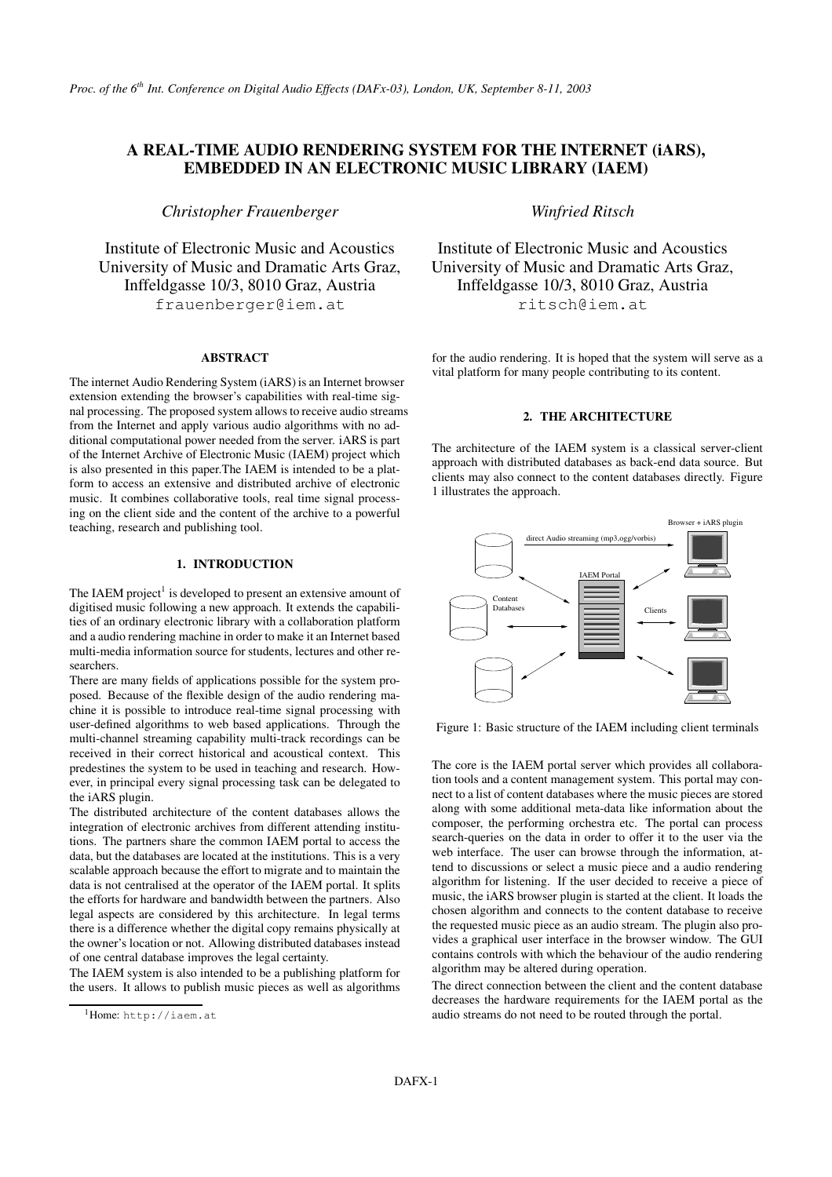# **A REAL-TIME AUDIO RENDERING SYSTEM FOR THE INTERNET (iARS), EMBEDDED IN AN ELECTRONIC MUSIC LIBRARY (IAEM)**

*Christopher Frauenberger*

Institute of Electronic Music and Acoustics University of Music and Dramatic Arts Graz, Inffeldgasse 10/3, 8010 Graz, Austria frauenberger@iem.at

## **ABSTRACT**

The internet Audio Rendering System (iARS) is an Internet browser extension extending the browser's capabilities with real-time signal processing. The proposed system allowsto receive audio streams from the Internet and apply various audio algorithms with no additional computational power needed from the server. iARS is part of the Internet Archive of Electronic Music (IAEM) project which is also presented in this paper.The IAEM is intended to be a platform to access an extensive and distributed archive of electronic music. It combines collaborative tools, real time signal processing on the client side and the content of the archive to a powerful teaching, research and publishing tool.

### **1. INTRODUCTION**

The IAEM project<sup>1</sup> is developed to present an extensive amount of digitised music following a new approach. It extends the capabilities of an ordinary electronic library with a collaboration platform and a audio rendering machine in order to make it an Internet based multi-media information source for students, lectures and other researchers.

There are many fields of applications possible for the system proposed. Because of the flexible design of the audio rendering machine it is possible to introduce real-time signal processing with user-defined algorithms to web based applications. Through the multi-channel streaming capability multi-track recordings can be received in their correct historical and acoustical context. This predestines the system to be used in teaching and research. However, in principal every signal processing task can be delegated to the iARS plugin.

The distributed architecture of the content databases allows the integration of electronic archives from different attending institutions. The partners share the common IAEM portal to access the data, but the databases are located at the institutions. This is a very scalable approach because the effort to migrate and to maintain the data is not centralised at the operator of the IAEM portal. It splits the efforts for hardware and bandwidth between the partners. Also legal aspects are considered by this architecture. In legal terms there is a difference whether the digital copy remains physically at the owner's location or not. Allowing distributed databases instead of one central database improves the legal certainty.

The IAEM system is also intended to be a publishing platform for the users. It allows to publish music pieces as well as algorithms *Winfried Ritsch*

Institute of Electronic Music and Acoustics University of Music and Dramatic Arts Graz, Inffeldgasse 10/3, 8010 Graz, Austria ritsch@iem.at

for the audio rendering. It is hoped that the system will serve as a vital platform for many people contributing to its content.

## **2. THE ARCHITECTURE**

The architecture of the IAEM system is a classical server-client approach with distributed databases as back-end data source. But clients may also connect to the content databases directly. Figure 1 illustrates the approach.



Figure 1: Basic structure of the IAEM including client terminals

The core is the IAEM portal server which provides all collaboration tools and a content management system. This portal may connect to a list of content databases where the music pieces are stored along with some additional meta-data like information about the composer, the performing orchestra etc. The portal can process search-queries on the data in order to offer it to the user via the web interface. The user can browse through the information, attend to discussions or select a music piece and a audio rendering algorithm for listening. If the user decided to receive a piece of music, the iARS browser plugin is started at the client. It loads the chosen algorithm and connects to the content database to receive the requested music piece as an audio stream. The plugin also provides a graphical user interface in the browser window. The GUI contains controls with which the behaviour of the audio rendering algorithm may be altered during operation.

The direct connection between the client and the content database decreases the hardware requirements for the IAEM portal as the audio streams do not need to be routed through the portal.

<sup>&</sup>lt;sup>1</sup>Home: http://iaem.at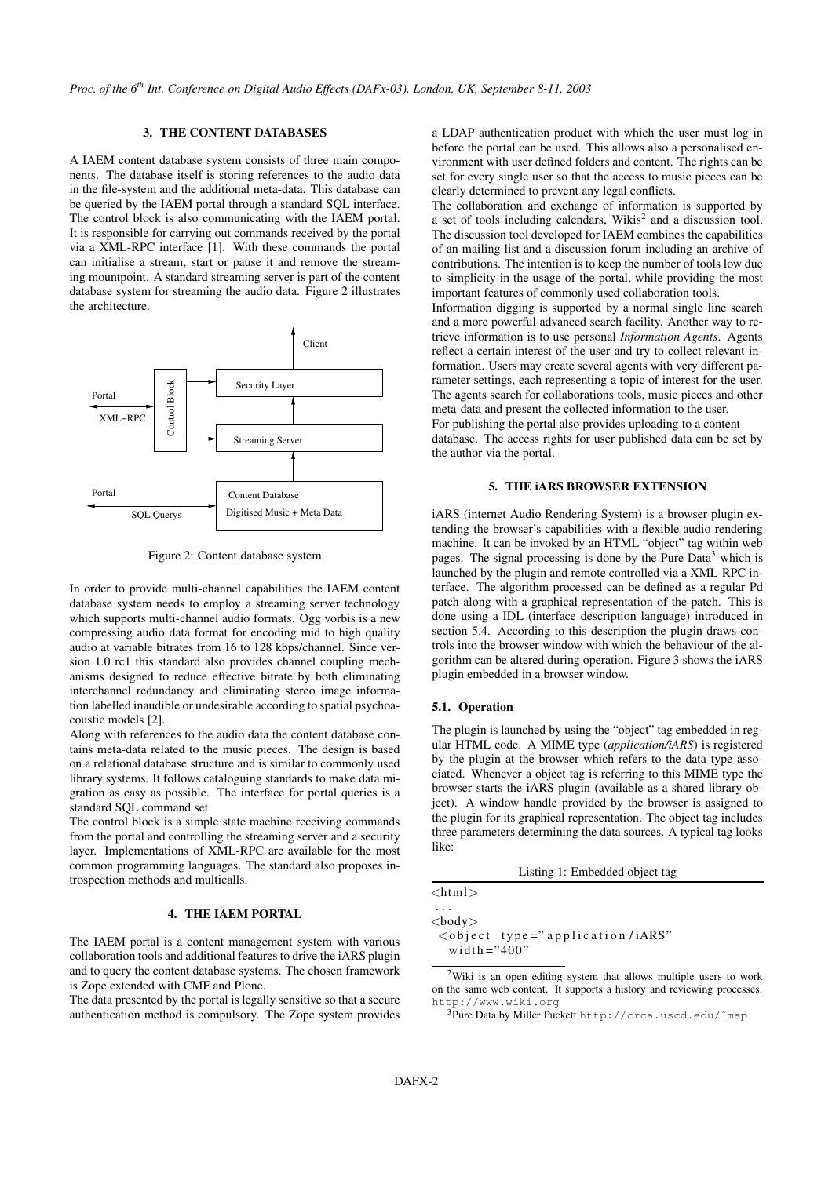# **3. THE CONTENT DATABASES**

A IAEM content database system consists of three main components. The database itself is storing references to the audio data in the file-system and the additional meta-data. This database can be queried by the IAEM portal through a standard SQL interface. The control block is also communicating with the IAEM portal. It is responsible for carrying out commands received by the portal via a XML-RPC interface [1]. With these commands the portal can initialise a stream, start or pause it and remove the streaming mountpoint. A standard streaming server is part of the content database system for streaming the audio data. Figure 2 illustrates the architecture.



Figure 2: Content database system

In order to provide multi-channel capabilities the IAEM content database system needs to employ a streaming server technology which supports multi-channel audio formats. Ogg vorbis is a new compressing audio data format for encoding mid to high quality audio at variable bitrates from 16 to 128 kbps/channel. Since version 1.0 rc1 this standard also provides channel coupling mechanisms designed to reduce effective bitrate by both eliminating interchannel redundancy and eliminating stereo image information labelled inaudible or undesirable according to spatial psychoacoustic models [2].

Along with references to the audio data the content database contains meta-data related to the music pieces. The design is based on a relational database structure and is similar to commonly used library systems. It follows cataloguing standards to make data migration as easy as possible. The interface for portal queries is a standard SQL command set.

The control block is a simple state machine receiving commands from the portal and controlling the streaming server and a security layer. Implementations of XML-RPC are available for the most common programming languages. The standard also proposes introspection methods and multicalls.

# **4. THE IAEM PORTAL**

The IAEM portal is a content management system with various collaboration tools and additional features to drive the iARS plugin and to query the content database systems. The chosen framework is Zope extended with CMF and Plone.

The data presented by the portal is legally sensitive so that a secure authentication method is compulsory. The Zope system provides

a LDAP authentication product with which the user must log in before the portal can be used. This allows also a personalised environment with user defined folders and content. The rights can be set for every single user so that the access to music pieces can be clearly determined to prevent any legal conflicts.

The collaboration and exchange of information is supported by a set of tools including calendars, Wikis<sup>2</sup> and a discussion tool. The discussion tool developed for IAEM combines the capabilities of an mailing list and a discussion forum including an archive of contributions. The intention is to keep the number of tools low due to simplicity in the usage of the portal, while providing the most important features of commonly used collaboration tools.

Information digging is supported by a normal single line search and a more powerful advanced search facility. Another way to retrieve information is to use personal *Information Agents*. Agents reflect a certain interest of the user and try to collect relevant information. Users may create several agents with very different parameter settings, each representing a topic of interest for the user. The agents search for collaborations tools, music pieces and other meta-data and present the collected information to the user. For publishing the portal also provides uploading to a content database. The access rights for user published data can be set by

#### **5. THE iARS BROWSER EXTENSION**

iARS (internet Audio Rendering System) is a browser plugin extending the browser's capabilities with a flexible audio rendering machine. It can be invoked by an HTML "object" tag within web pages. The signal processing is done by the Pure Data<sup>3</sup> which is launched by the plugin and remote controlled via a XML-RPC interface. The algorithm processed can be defined as a regular Pd patch along with a graphical representation of the patch. This is done using a IDL (interface description language) introduced in section 5.4. According to this description the plugin draws controls into the browser window with which the behaviour of the algorithm can be altered during operation. Figure 3 shows the iARS plugin embedded in a browser window.

#### **5.1. Operation**

the author via the portal.

The plugin is launched by using the "object" tag embedded in regular HTML code. A MIME type (*application/iARS*) is registered by the plugin at the browser which refers to the data type associated. Whenever a object tag is referring to this MIME type the browser starts the iARS plugin (available as a shared library object). A window handle provided by the browser is assigned to the plugin for its graphical representation. The object tag includes three parameters determining the data sources. A typical tag looks like:

Listing 1: Embedded object tag

| $<$ html $>$ |  |  |  |  |
|--------------|--|--|--|--|
|              |  |  |  |  |

 $<$ hody $>$ 

<o b j e c t t y p e =" a p p l i c a t i o n / iARS" width  $=$ "400"

<sup>2</sup>Wiki is an open editing system that allows multiple users to work on the same web content. It supports a history and reviewing processes. http://www.wiki.org

<sup>3</sup>Pure Data by Miller Puckett http://crca.uscd.edu/~msp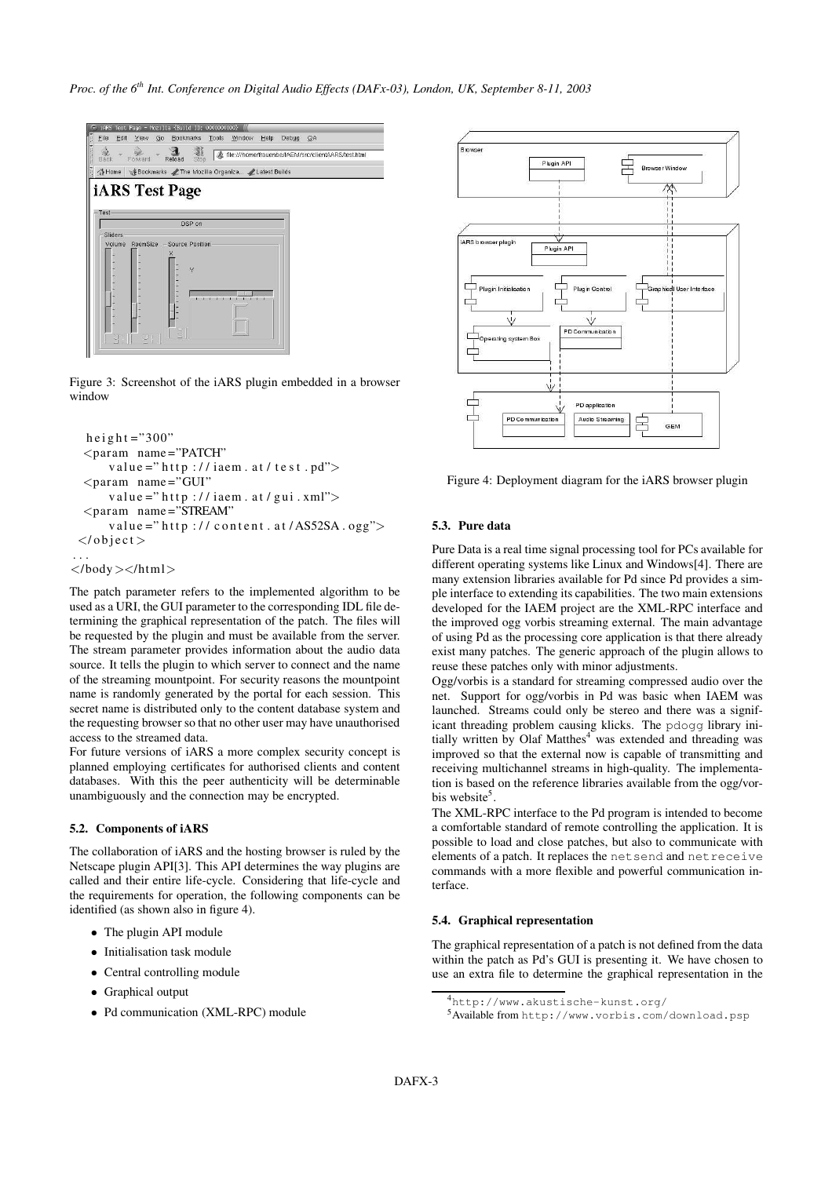

Figure 3: Screenshot of the iARS plugin embedded in a browser window

```
h e i g h t = "300"
 <param name ="PATCH"
     value ="http://iaem.at/test.pd">
  <param name = "GUI"
     value = "http://iaem.at/gui.xml"><param name ="STREAM"
     value ="http://content.at/AS52SA.ogg">
 \langle/object>
. . .
</body ></html>
```
The patch parameter refers to the implemented algorithm to be used as a URI, the GUI parameter to the corresponding IDL file determining the graphical representation of the patch. The files will be requested by the plugin and must be available from the server. The stream parameter provides information about the audio data source. It tells the plugin to which server to connect and the name of the streaming mountpoint. For security reasons the mountpoint name is randomly generated by the portal for each session. This secret name is distributed only to the content database system and the requesting browser so that no other user may have unauthorised access to the streamed data.

For future versions of iARS a more complex security concept is planned employing certificates for authorised clients and content databases. With this the peer authenticity will be determinable unambiguously and the connection may be encrypted.

#### **5.2. Components of iARS**

The collaboration of iARS and the hosting browser is ruled by the Netscape plugin API[3]. This API determines the way plugins are called and their entire life-cycle. Considering that life-cycle and the requirements for operation, the following components can be identified (as shown also in figure 4).

- The plugin API module
- Initialisation task module
- Central controlling module
- Graphical output
- Pd communication (XML-RPC) module



Figure 4: Deployment diagram for the iARS browser plugin

# **5.3. Pure data**

Pure Data is a real time signal processing tool for PCs available for different operating systems like Linux and Windows[4]. There are many extension libraries available for Pd since Pd provides a simple interface to extending its capabilities. The two main extensions developed for the IAEM project are the XML-RPC interface and the improved ogg vorbis streaming external. The main advantage of using Pd as the processing core application is that there already exist many patches. The generic approach of the plugin allows to reuse these patches only with minor adjustments.

Ogg/vorbis is a standard for streaming compressed audio over the net. Support for ogg/vorbis in Pd was basic when IAEM was launched. Streams could only be stereo and there was a significant threading problem causing klicks. The pdogg library initially written by Olaf Matthes<sup>4</sup> was extended and threading was improved so that the external now is capable of transmitting and receiving multichannel streams in high-quality. The implementation is based on the reference libraries available from the ogg/vorbis website<sup>5</sup>.

The XML-RPC interface to the Pd program is intended to become a comfortable standard of remote controlling the application. It is possible to load and close patches, but also to communicate with elements of a patch. It replaces the netsend and netreceive commands with a more flexible and powerful communication interface.

### **5.4. Graphical representation**

The graphical representation of a patch is not defined from the data within the patch as Pd's GUI is presenting it. We have chosen to use an extra file to determine the graphical representation in the

<sup>4</sup>http://www.akustische-kunst.org/

<sup>5</sup>Available from http://www.vorbis.com/download.psp